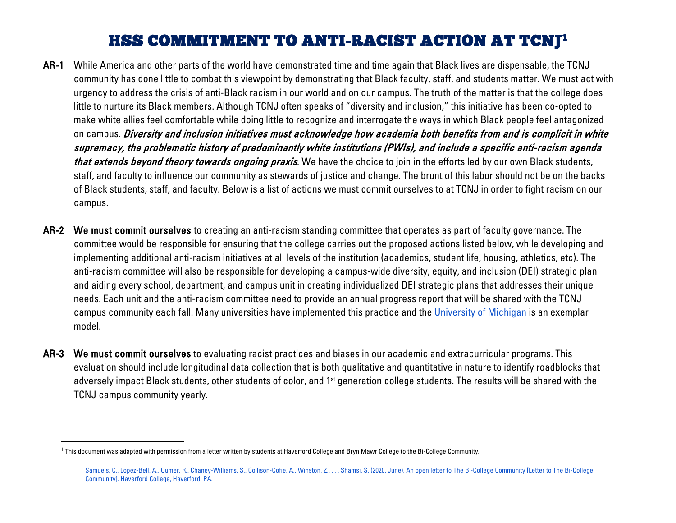## <span id="page-0-0"></span>HSS COMMITMENT TO ANTI-RACIST ACTION AT TCNJ[1](#page-0-0)

- AR-1 While America and other parts of the world have demonstrated time and time again that Black lives are dispensable, the TCNJ community has done little to combat this viewpoint by demonstrating that Black faculty, staff, and students matter. We must act with urgency to address the crisis of anti-Black racism in our world and on our campus. The truth of the matter is that the college does little to nurture its Black members. Although TCNJ often speaks of "diversity and inclusion," this initiative has been co-opted to make white allies feel comfortable while doing little to recognize and interrogate the ways in which Black people feel antagonized on campus. Diversity and inclusion initiatives must acknowledge how academia both benefits from and is complicit in white supremacy, the problematic history of predominantly white institutions (PWIs), and include a specific anti-racism agenda that extends beyond theory towards ongoing praxis. We have the choice to join in the efforts led by our own Black students, staff, and faculty to influence our community as stewards of justice and change. The brunt of this labor should not be on the backs of Black students, staff, and faculty. Below is a list of actions we must commit ourselves to at TCNJ in order to fight racism on our campus.
- AR-2 We must commit ourselves to creating an anti-racism standing committee that operates as part of faculty governance. The committee would be responsible for ensuring that the college carries out the proposed actions listed below, while developing and implementing additional anti-racism initiatives at all levels of the institution (academics, student life, housing, athletics, etc). The anti-racism committee will also be responsible for developing a campus-wide diversity, equity, and inclusion (DEI) strategic plan and aiding every school, department, and campus unit in creating individualized DEI strategic plans that addresses their unique needs. Each unit and the anti-racism committee need to provide an annual progress report that will be shared with the TCNJ campus community each fall. Many universities have implemented this practice and the [University of Michigan](https://diversity.umich.edu/strategic-plan/) is an exemplar model.
- AR-3 We must commit ourselves to evaluating racist practices and biases in our academic and extracurricular programs. This evaluation should include longitudinal data collection that is both qualitative and quantitative in nature to identify roadblocks that adversely impact Black students, other students of color, and 1<sup>st</sup> generation college students. The results will be shared with the TCNJ campus community yearly.

l

<sup>&</sup>lt;sup>1</sup> This document was adapted with permission from a letter written by students at Haverford College and Bryn Mawr College to the Bi-College Community.

[Samuels, C., Lopez-Bell, A., Oumer, R., Chaney-Williams, S., Collison-Cofie, A., Winston, Z., . . . Shamsi, S. \(2020, June\). An open letter to The Bi-College Community \[Letter to The Bi-College](https://docs.google.com/document/u/1/d/15ZIi4QtlyU5C9mVP1heyBD7rrI44k_F1nUbjHYhvR_o/mobilebasic)  [Community\]. Haverford College, Haverford, PA.](https://docs.google.com/document/u/1/d/15ZIi4QtlyU5C9mVP1heyBD7rrI44k_F1nUbjHYhvR_o/mobilebasic)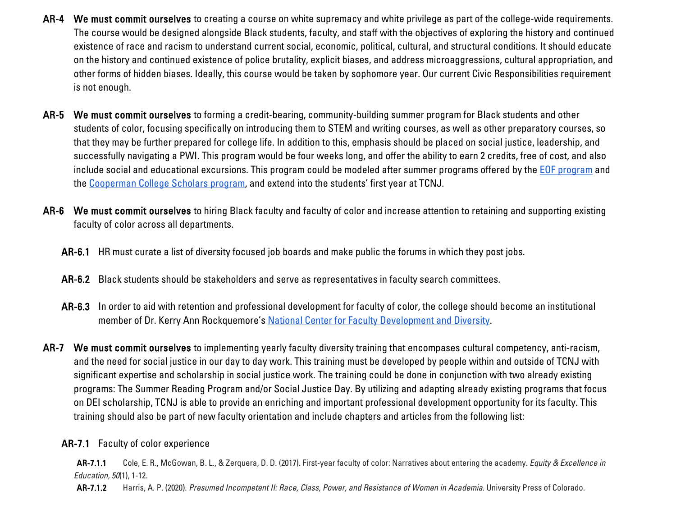- AR-4 We must commit ourselves to creating a course on white supremacy and white privilege as part of the college-wide requirements. The course would be designed alongside Black students, faculty, and staff with the objectives of exploring the history and continued existence of race and racism to understand current social, economic, political, cultural, and structural conditions. It should educate on the history and continued existence of police brutality, explicit biases, and address microaggressions, cultural appropriation, and other forms of hidden biases. Ideally, this course would be taken by sophomore year. Our current Civic Responsibilities requirement is not enough.
- AR-5 We must commit ourselves to forming a credit-bearing, community-building summer program for Black students and other students of color, focusing specifically on introducing them to STEM and writing courses, as well as other preparatory courses, so that they may be further prepared for college life. In addition to this, emphasis should be placed on social justice, leadership, and successfully navigating a PWI. This program would be four weeks long, and offer the ability to earn 2 credits, free of cost, and also include social and educational excursions. This program could be modeled after summer programs offered by the **EOF** program and the [Cooperman College Scholars program,](http://coopermanscholars.org/program/) and extend into the students' first year at TCNJ.
- AR-6 We must commit ourselves to hiring Black faculty and faculty of color and increase attention to retaining and supporting existing faculty of color across all departments.
	- AR-6.1 HR must curate a list of diversity focused job boards and make public the forums in which they post jobs.
	- AR-6.2 Black students should be stakeholders and serve as representatives in faculty search committees.
	- AR-6.3 In order to aid with retention and professional development for faculty of color, the college should become an institutional member of Dr. Kerry Ann Rockquemore's [National Center for Faculty Development and Diversity.](https://www.facultydiversity.org/ncfddmission)
- AR-7 We must commit ourselves to implementing yearly faculty diversity training that encompases cultural competency, anti-racism, and the need for social justice in our day to day work. This training must be developed by people within and outside of TCNJ with significant expertise and scholarship in social justice work. The training could be done in conjunction with two already existing programs: The Summer Reading Program and/or Social Justice Day. By utilizing and adapting already existing programs that focus on DEI scholarship, TCNJ is able to provide an enriching and important professional development opportunity for its faculty. This training should also be part of new faculty orientation and include chapters and articles from the following list:

## AR-7.1 Faculty of color experience

AR-7.1.1 Cole, E. R., McGowan, B. L., & Zerquera, D. D. (2017). First-year faculty of color: Narratives about entering the academy. *Equity & Excellence in Education*, *50*(1), 1-12.

AR-7.1.2 Harris, A. P. (2020). *Presumed Incompetent II: Race, Class, Power, and Resistance of Women in Academia*. University Press of Colorado.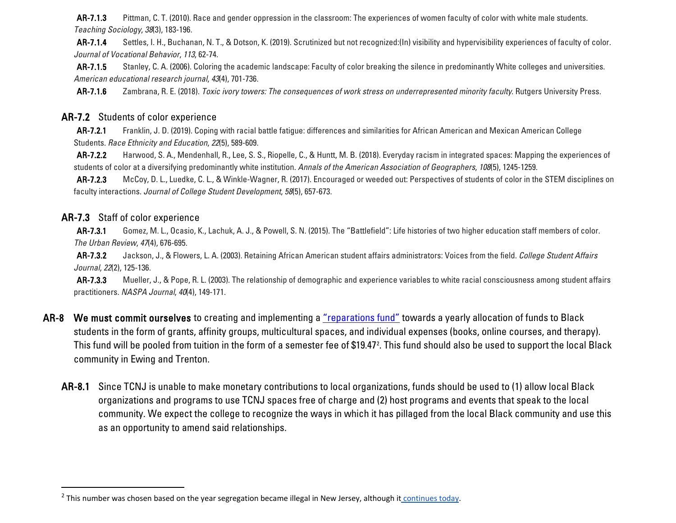<span id="page-2-0"></span>AR-7.1.3 Pittman, C. T. (2010). Race and gender oppression in the classroom: The experiences of women faculty of color with white male students. *Teaching Sociology*, *38*(3), 183-196.

AR-7.1.4 Settles, I. H., Buchanan, N. T., & Dotson, K. (2019). Scrutinized but not recognized:(In) visibility and hypervisibility experiences of faculty of color. *Journal of Vocational Behavior*, *113*, 62-74.

AR-7.1.5 Stanley, C. A. (2006). Coloring the academic landscape: Faculty of color breaking the silence in predominantly White colleges and universities. *American educational research journal*, *43*(4), 701-736.

AR-7.1.6 Zambrana, R. E. (2018). *Toxic ivory towers: The consequences of work stress on underrepresented minority faculty*. Rutgers University Press.

## AR-7.2 Students of color experience

AR-7.2.1 Franklin, J. D. (2019). Coping with racial battle fatigue: differences and similarities for African American and Mexican American College Students. *Race Ethnicity and Education*, *22*(5), 589-609.

AR-7.2.2 Harwood, S. A., Mendenhall, R., Lee, S. S., Riopelle, C., & Huntt, M. B. (2018). Everyday racism in integrated spaces: Mapping the experiences of students of color at a diversifying predominantly white institution. *Annals of the American Association of Geographers*, *108*(5), 1245-1259.

AR-7.2.3 McCoy, D. L., Luedke, C. L., & Winkle-Wagner, R. (2017). Encouraged or weeded out: Perspectives of students of color in the STEM disciplines on faculty interactions. *Journal of College Student Development*, *58*(5), 657-673.

## AR-7.3 Staff of color experience

AR-7.3.1 Gomez, M. L., Ocasio, K., Lachuk, A. J., & Powell, S. N. (2015). The "Battlefield": Life histories of two higher education staff members of color. *The Urban Review*, *47*(4), 676-695.

AR-7.3.2 Jackson, J., & Flowers, L. A. (2003). Retaining African American student affairs administrators: Voices from the field. *College Student Affairs Journal*, *22*(2), 125-136.

AR-7.3.3 Mueller, J., & Pope, R. L. (2003). The relationship of demographic and experience variables to white racial consciousness among student affairs practitioners. *NASPA Journal*, *40*(4), 149-171.

- AR-8 We must commit ourselves to creating and implementing a ["reparations fund"](https://www.nytimes.com/2019/04/12/us/georgetown-reparations.html) towards a yearly allocation of funds to Black students in the form of grants, affinity groups, multicultural spaces, and individual expenses (books, online courses, and therapy). This fund will be pooled from tuition in the form of a semester fee of \$19.47². This fund should also be used to support the local Black community in Ewing and Trenton.
	- AR-8.1 Since TCNJ is unable to make monetary contributions to local organizations, funds should be used to (1) allow local Black organizations and programs to use TCNJ spaces free of charge and (2) host programs and events that speak to the local community. We expect the college to recognize the ways in which it has pillaged from the local Black community and use this as an opportunity to amend said relationships.

<sup>&</sup>lt;sup>2</sup> This number was chosen based on the year segregation became illegal in New Jersey, although it [continues today.](https://escholarship.org/content/qt5x78n1bd/qt5x78n1bd.pdf)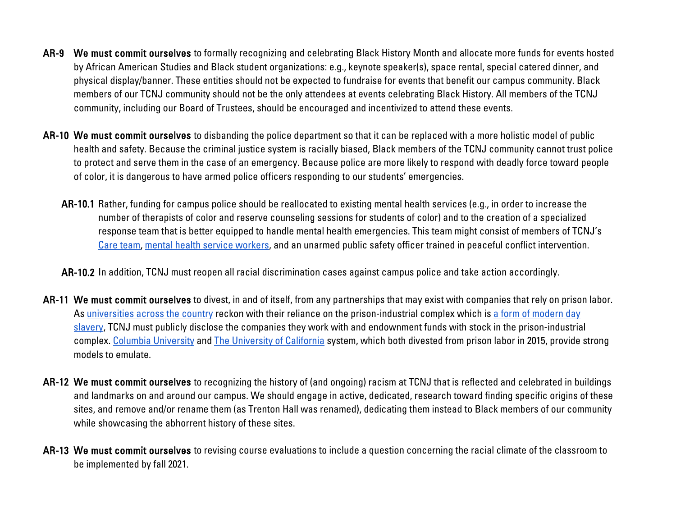- AR-9 We must commit ourselves to formally recognizing and celebrating Black History Month and allocate more funds for events hosted by African American Studies and Black student organizations: e.g., keynote speaker(s), space rental, special catered dinner, and physical display/banner. These entities should not be expected to fundraise for events that benefit our campus community. Black members of our TCNJ community should not be the only attendees at events celebrating Black History. All members of the TCNJ community, including our Board of Trustees, should be encouraged and incentivized to attend these events.
- AR-10 We must commit ourselves to disbanding the police department so that it can be replaced with a more holistic model of public health and safety. Because the criminal justice system is racially biased, Black members of the TCNJ community cannot trust police to protect and serve them in the case of an emergency. Because police are more likely to respond with deadly force toward people of color, it is dangerous to have armed police officers responding to our students' emergencies.
	- AR-10.1 Rather, funding for campus police should be reallocated to existing mental health services (e.g., in order to increase the number of therapists of color and reserve counseling sessions for students of color) and to the creation of a specialized response team that is better equipped to handle mental health emergencies. This team might consist of members of TCNJ's [Care team,](https://tcnjcares.tcnj.edu/tcnj-cares/care-team/) [mental health service workers,](https://mhs.tcnj.edu/about/our-staff/) and an unarmed public safety officer trained in peaceful conflict intervention.

AR-10.2 In addition, TCNJ must reopen all racial discrimination cases against campus police and take action accordingly.

- AR-11 We must commit ourselves to divest, in and of itself, from any partnerships that may exist with companies that rely on prison labor. A[s universities across the country](https://prisondivest.com/2019/04/10/over-20-campuses-across-nation-protest-on-april-10th-to-demand-universities-invest-in-community-resources-divest-from-prison-industrial-complex/) reckon with their reliance on the prison-industrial complex which is a form of modern day [slavery,](https://www.aaihs.org/black-lives-matter-on-campus-universities-must-rethink-reliance-on-campus-policing-and-prison-labor/) TCNJ must publicly disclose the companies they work with and endownment funds with stock in the prison-industrial complex. [Columbia University](https://finance.columbia.edu/content/trustee-action-prison-divestment-issue) and [The University of California](https://www.latimes.com/local/education/la-me-uc-divestment-prisons-20151226-story.html) system, which both divested from prison labor in 2015, provide strong models to emulate.
- AR-12 We must commit ourselves to recognizing the history of (and ongoing) racism at TCNJ that is reflected and celebrated in buildings and landmarks on and around our campus. We should engage in active, dedicated, research toward finding specific origins of these sites, and remove and/or rename them (as Trenton Hall was renamed), dedicating them instead to Black members of our community while showcasing the abhorrent history of these sites.
- AR-13 We must commit ourselves to revising course evaluations to include a question concerning the racial climate of the classroom to be implemented by fall 2021.